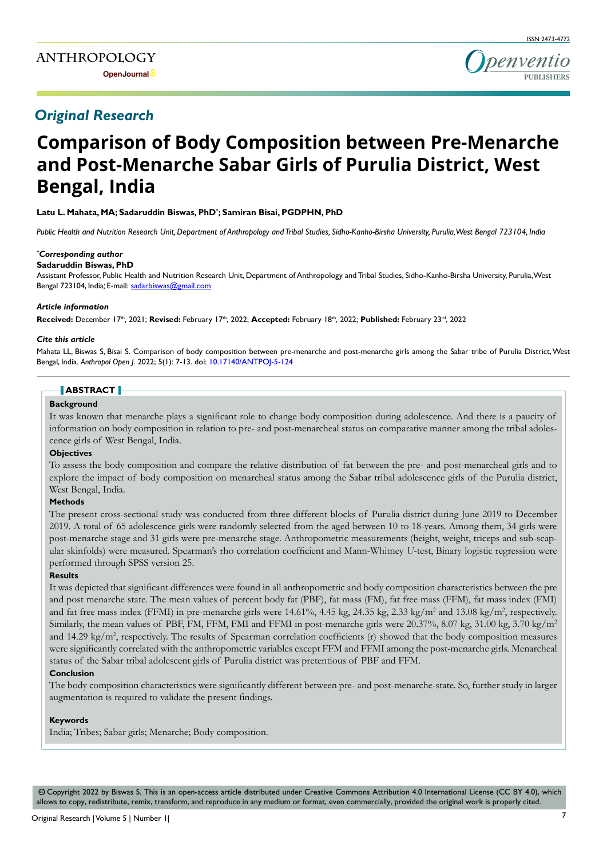

# *Original Research*

# **Comparison of Body Composition between Pre-Menarche and Post-Menarche Sabar Girls of Purulia District, West Bengal, India**

**Latu L. Mahata, MA; Sadaruddin Biswas, PhD\* ; Samiran Bisai, PGDPHN, PhD**

*Public Health and Nutrition Research Unit, Department of Anthropology and Tribal Studies, Sidho-Kanho-Birsha University, Purulia, West Bengal 723104, India*

# *\* Corresponding author*

## **Sadaruddin Biswas, PhD**

Assistant Professor, Public Health and Nutrition Research Unit, Department of Anthropology and Tribal Studies, Sidho-Kanho-Birsha University, Purulia, West Bengal 723104, India*;* E-mail: sadarbiswas@gmail.com

#### *Article information*

Received: December 17<sup>th</sup>, 2021; Revised: February 17<sup>th</sup>, 2022; Accepted: February 18<sup>th</sup>, 2022; Published: February 23<sup>rd</sup>, 2022

#### *Cite this article*

Mahata LL, Biswas S, Bisai S. Comparison of body composition between pre-menarche and post-menarche girls among the Sabar tribe of Purulia District, West Bengal, India. *Anthropol Open J*. 2022; 5(1): 7-13. doi: [10.17140/ANTPOJ-5-124](http://dx.doi.org/10.17140/ANTPOJ-5-124)

#### **ABSTRACT**

#### **Background**

It was known that menarche plays a significant role to change body composition during adolescence. And there is a paucity of information on body composition in relation to pre- and post-menarcheal status on comparative manner among the tribal adolescence girls of West Bengal, India.

#### **Objectives**

To assess the body composition and compare the relative distribution of fat between the pre- and post-menarcheal girls and to explore the impact of body composition on menarcheal status among the Sabar tribal adolescence girls of the Purulia district, West Bengal, India.

#### **Methods**

The present cross-sectional study was conducted from three different blocks of Purulia district during June 2019 to December 2019. A total of 65 adolescence girls were randomly selected from the aged between 10 to 18-years. Among them, 34 girls were post-menarche stage and 31 girls were pre-menarche stage. Anthropometric measurements (height, weight, triceps and sub-scapular skinfolds) were measured. Spearman's rho correlation coefficient and Mann-Whitney *U*-test, Binary logistic regression were performed through SPSS version 25.

#### **Results**

It was depicted that significant differences were found in all anthropometric and body composition characteristics between the pre and post menarche state. The mean values of percent body fat (PBF), fat mass (FM), fat free mass (FFM), fat mass index (FMI) and fat free mass index (FFMI) in pre-menarche girls were  $14.61\%$ ,  $4.45$  kg,  $24.35$  kg,  $2.33$  kg/m<sup>2</sup> and  $13.08$  kg/m<sup>2</sup>, respectively. Similarly, the mean values of PBF, FM, FFM, FMI and FFMI in post-menarche girls were 20.37%, 8.07 kg, 31.00 kg, 3.70 kg/m<sup>2</sup> and 14.29 kg/m<sup>2</sup>, respectively. The results of Spearman correlation coefficients (r) showed that the body composition measures were significantly correlated with the anthropometric variables except FFM and FFMI among the post-menarche girls. Menarcheal status of the Sabar tribal adolescent girls of Purulia district was pretentious of PBF and FFM.

#### **Conclusion**

The body composition characteristics were significantly different between pre- and post-menarche-state. So, further study in larger augmentation is required to validate the present findings.

#### **Keywords**

India; Tribes; Sabar girls; Menarche; Body composition.

 Copyright 2022 by Biswas S. This is an open-access article distributed under Creative Commons Attribution 4.0 International License (CC BY 4.0), which cc allows to copy, redistribute, remix, transform, and reproduce in any medium or format, even commercially, provided the original work is properly cited.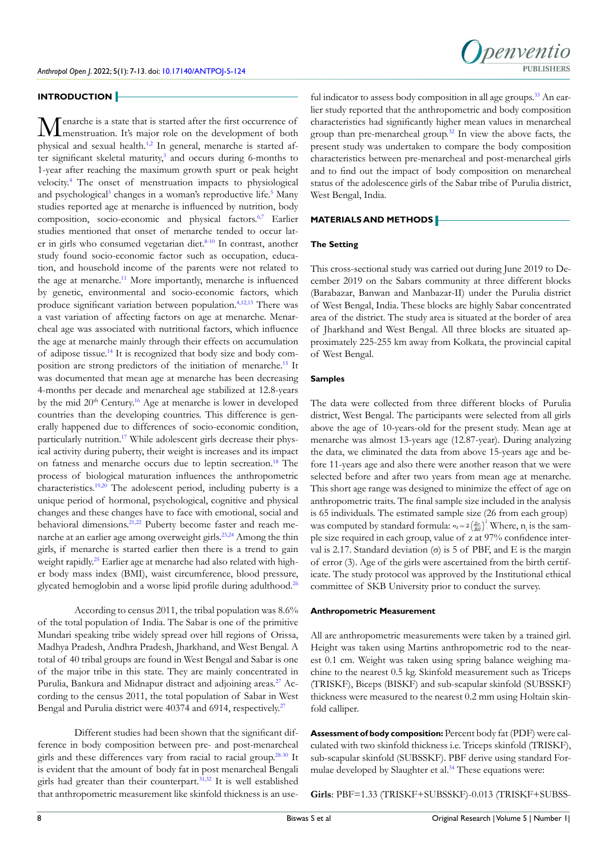## **INTRODUCTION**

**Menarche is a state that is started after the first occurrence of** menstruation. It's major role on the development of both physical and sexual health[.1,2](#page-4-0) In general, menarche is started after significant skeletal maturity,<sup>3</sup> and occurs during 6-months to 1-year after reaching the maximum growth spurt or peak height velocity.[4](#page-4-2) The onset of menstruation impacts to physiological and psychological<sup>3</sup> changes in a woman's reproductive life.<sup>5</sup> Many studies reported age at menarche is influenced by nutrition, body composition, socio-economic and physical factors.<sup>6,7</sup> Earlier studies mentioned that onset of menarche tended to occur later in girls who consumed vegetarian diet.<sup>8-10</sup> In contrast, another study found socio-economic factor such as occupation, education, and household income of the parents were not related to the age at menarche.<sup>[11](#page-4-6)</sup> More importantly, menarche is influenced by genetic, environmental and socio-economic factors, which produce significant variation between population[.4,](#page-4-2)[12,13](#page-4-7) There was a vast variation of affecting factors on age at menarche. Menarcheal age was associated with nutritional factors, which influence the age at menarche mainly through their effects on accumulation of adipose tissue[.14](#page-4-8) It is recognized that body size and body composition are strong predictors of the initiation of menarche[.15](#page-4-9) It was documented that mean age at menarche has been decreasing 4-months per decade and menarcheal age stabilized at 12.8-years by the mid  $20<sup>th</sup>$  Century.<sup>[16](#page-4-10)</sup> Age at menarche is lower in developed countries than the developing countries. This difference is generally happened due to differences of socio-economic condition, particularly nutrition.<sup>[17](#page-4-11)</sup> While adolescent girls decrease their physical activity during puberty, their weight is increases and its impact on fatness and menarche occurs due to leptin secreation.[18](#page-5-0) The process of biological maturation influences the anthropometric characteristics.<sup>[19,20](#page-5-1)</sup> The adolescent period, including puberty is a unique period of hormonal, psychological, cognitive and physical changes and these changes have to face with emotional, social and behavioral dimensions.<sup>21,22</sup> Puberty become faster and reach menarche at an earlier age among overweight girls[.23,24](#page-5-3) Among the thin girls, if menarche is started earlier then there is a trend to gain weight rapidly.<sup>25</sup> Earlier age at menarche had also related with higher body mass index (BMI), waist circumference, blood pressure, glycated hemoglobin and a worse lipid profile during adulthood[.26](#page-5-5)

According to census 2011, the tribal population was 8.6% of the total population of India. The Sabar is one of the primitive Mundari speaking tribe widely spread over hill regions of Orissa, Madhya Pradesh, Andhra Pradesh, Jharkhand, and West Bengal. A total of 40 tribal groups are found in West Bengal and Sabar is one of the major tribe in this state. They are mainly concentrated in Purulia, Bankura and Midnapur distract and adjoining areas.<sup>27</sup> According to the census 2011, the total population of Sabar in West Bengal and Purulia district were 40374 and 6914, respectively.<sup>[27](#page-5-6)</sup>

Different studies had been shown that the significant difference in body composition between pre- and post-menarcheal girls and these differences vary from racial to racial group.[28-30](#page-5-7) It is evident that the amount of body fat in post menarcheal Bengali girls had greater than their counterpart.<sup>31,32</sup> It is well established that anthropometric measurement like skinfold thickness is an use-

ful indicator to assess body composition in all age groups.<sup>33</sup> An earlier study reported that the anthropometric and body composition characteristics had significantly higher mean values in menarcheal group than pre-menarcheal group[.32](#page-5-10) In view the above facts, the present study was undertaken to compare the body composition characteristics between pre-menarcheal and post-menarcheal girls and to find out the impact of body composition on menarcheal status of the adolescence girls of the Sabar tribe of Purulia district, West Bengal, India.

#### **MATERIALS AND METHODS**

#### **The Setting**

This cross-sectional study was carried out during June 2019 to December 2019 on the Sabars community at three different blocks (Barabazar, Banwan and Manbazar-II) under the Purulia district of West Bengal, India. These blocks are highly Sabar concentrated area of the district. The study area is situated at the border of area of Jharkhand and West Bengal. All three blocks are situated approximately 225-255 km away from Kolkata, the provincial capital of West Bengal.

#### **Samples**

The data were collected from three different blocks of Purulia district, West Bengal. The participants were selected from all girls above the age of 10-years-old for the present study. Mean age at menarche was almost 13-years age (12.87-year). During analyzing the data, we eliminated the data from above 15-years age and before 11-years age and also there were another reason that we were selected before and after two years from mean age at menarche. This short age range was designed to minimize the effect of age on anthropometric traits. The final sample size included in the analysis is 65 individuals. The estimated sample size (26 from each group) was computed by standard formula:  $n_i = 2 \left(\frac{Z\sigma}{BS}\right)^2$  Where,  $n_i$  is the sample size required in each group, value of z at 97% confidence interval is 2.17. Standard deviation  $(\sigma)$  is 5 of PBF, and E is the margin of error (3). Age of the girls were ascertained from the birth certificate. The study protocol was approved by the Institutional ethical committee of SKB University prior to conduct the survey.

#### **Anthropometric Measurement**

All are anthropometric measurements were taken by a trained girl. Height was taken using Martins anthropometric rod to the nearest 0.1 cm. Weight was taken using spring balance weighing machine to the nearest 0.5 kg. Skinfold measurement such as Triceps (TRISKF), Biceps (BISKF) and sub-scapular skinfold (SUBSSKF) thickness were measured to the nearest 0.2 mm using Holtain skinfold calliper.

**Assessment of body composition:** Percent body fat (PDF) were calculated with two skinfold thickness i.e. Triceps skinfold (TRISKF), sub-scapular skinfold (SUBSSKF). PBF derive using standard Formulae developed by Slaughter et al.<sup>34</sup> These equations were:

**Girls**: PBF=1.33 (TRISKF+SUBSSKF)-0.013 (TRISKF+SUBSS-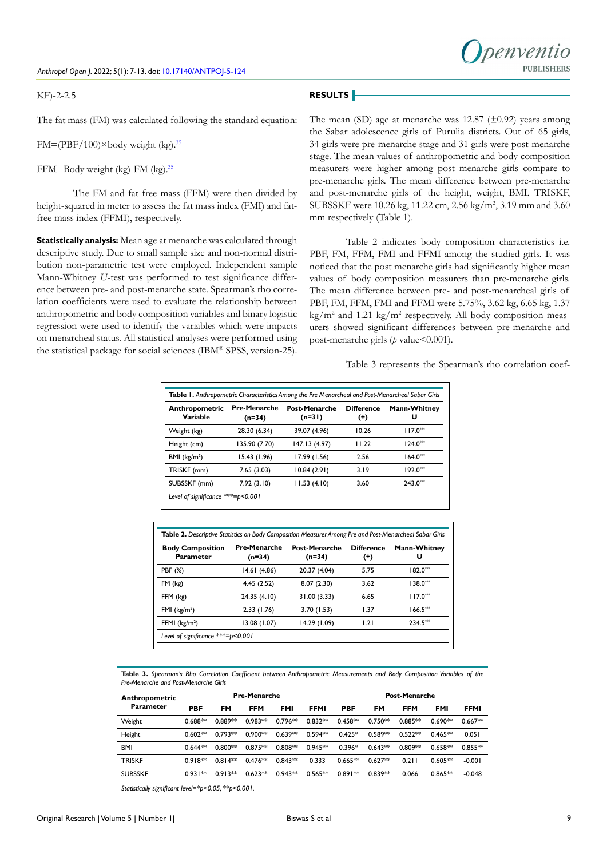#### *Anthropol Open J*. 2022; 5(1): 7-13. doi: [10.17140/ANTPOJ-5-124](http://dx.doi.org/10.17140/ANTPOJ-5-124)

#### KF)-2-2.5

# penyentic **PURLISHERS**

# **RESULTS**

The fat mass (FM) was calculated following the standard equation:

 $FM=(PBF/100)\times$ body weight (kg).<sup>[35](#page-5-12)</sup>

FFM=Body weight (kg)-FM (kg).[35](#page-5-12)

The FM and fat free mass (FFM) were then divided by height-squared in meter to assess the fat mass index (FMI) and fatfree mass index (FFMI), respectively.

**Statistically analysis:** Mean age at menarche was calculated through descriptive study. Due to small sample size and non-normal distribution non-parametric test were employed. Independent sample Mann-Whitney *U*-test was performed to test significance difference between pre- and post-menarche state. Spearman's rho correlation coefficients were used to evaluate the relationship between anthropometric and body composition variables and binary logistic regression were used to identify the variables which were impacts on menarcheal status. All statistical analyses were performed using the statistical package for social sciences (IBM® SPSS, version-25).

The mean (SD) age at menarche was  $12.87 \ (\pm 0.92)$  years among the Sabar adolescence girls of Purulia districts. Out of 65 girls, 34 girls were pre-menarche stage and 31 girls were post-menarche stage. The mean values of anthropometric and body composition measurers were higher among post menarche girls compare to pre-menarche girls. The mean difference between pre-menarche and post-menarche girls of the height, weight, BMI, TRISKF, SUBSSKF were 10.26 kg, 11.22 cm, 2.56 kg/m<sup>2</sup>, 3.19 mm and 3.60 mm respectively (Table 1).

Table 2 indicates body composition characteristics i.e. PBF, FM, FFM, FMI and FFMI among the studied girls. It was noticed that the post menarche girls had significantly higher mean values of body composition measurers than pre-menarche girls. The mean difference between pre- and post-menarcheal girls of PBF, FM, FFM, FMI and FFMI were 5.75%, 3.62 kg, 6.65 kg, 1.37 kg/m<sup>2</sup> and 1.21 kg/m<sup>2</sup> respectively. All body composition measurers showed significant differences between pre-menarche and post-menarche girls (*p* value<0.001).

Table 3 represents the Spearman's rho correlation coef-

| Anthropometric<br>Variable | <b>Pre-Menarche</b><br>$(n=34)$ | <b>Post-Menarche</b><br>$(n=31)$ | <b>Difference</b><br>$^{(+)}$ | <b>Mann-Whitney</b><br>U |
|----------------------------|---------------------------------|----------------------------------|-------------------------------|--------------------------|
| Weight (kg)                | 28.30 (6.34)                    | 39.07 (4.96)                     | 10.26                         | $117.0***$               |
| Height (cm)                | 135.90 (7.70)                   | 147.13 (4.97)                    | 11.22                         | $124.0***$               |
| BMI ( $kg/m2$ )            | 15.43 (1.96)                    | 17.99 (1.56)                     | 2.56                          | $164.0***$               |
| TRISKF (mm)                | 7.65(3.03)                      | 10.84(2.91)                      | 3.19                          | $192.0***$               |
| SUBSSKF (mm)               | 7.92(3.10)                      | 11.53(4.10)                      | 3.60                          | $243.0***$               |

| <b>Body Composition</b><br>Parameter | <b>Pre-Menarche</b><br>(n=34) | <b>Post-Menarche</b><br>(n=34) | <b>Difference</b><br>$^{(+)}$ | <b>Mann-Whitney</b><br>U |
|--------------------------------------|-------------------------------|--------------------------------|-------------------------------|--------------------------|
| PBF (%)                              | 14.61(4.86)                   | 20.37 (4.04)                   | 5.75                          | $182.0***$               |
| $FM$ ( $kg$ )                        | 4.45(2.52)                    | 8.07(2.30)                     | 3.62                          | $138.0***$               |
| FFM (kg)                             | 24.35 (4.10)                  | 31.00 (3.33)                   | 6.65                          | $117.0***$               |
| FMI $(kg/m2)$                        | 2.33(1.76)                    | 3.70(1.53)                     | 1.37                          | $166.5***$               |
| FFMI $(kg/m2)$                       | 13.08 (1.07)                  | 14.29 (1.09)                   | 1.21                          | $234.5***$               |

**Table 3.** *Spearman's Rho Correlation Coefficient between Anthropometric Measurements and Body Composition Variables of the Pre-Menarche and Post-Menarche Girls*

| Anthropometric                                      |            |           | <b>Pre-Menarche</b> |            |             |            |           | <b>Post-Menarche</b> |            |             |
|-----------------------------------------------------|------------|-----------|---------------------|------------|-------------|------------|-----------|----------------------|------------|-------------|
| Parameter                                           | <b>PBF</b> | FM        | <b>FFM</b>          | <b>FMI</b> | <b>FFMI</b> | <b>PBF</b> | FM        | <b>FFM</b>           | <b>FMI</b> | <b>FFMI</b> |
| Weight                                              | $0.688**$  | $0.889**$ | $0.983**$           | $0.796**$  | $0.832**$   | $0.458**$  | $0.750**$ | $0.885**$            | $0.690**$  | $0.667**$   |
| Height                                              | $0.602**$  | $0.793**$ | $0.900**$           | $0.639**$  | $0.594**$   | $0.425*$   | $0.589**$ | $0.522**$            | $0.465**$  | 0.051       |
| <b>BMI</b>                                          | $0.644**$  | $0.800**$ | $0.875**$           | $0.808**$  | $0.945**$   | $0.396*$   | $0.643**$ | $0.809**$            | $0.658**$  | $0.855**$   |
| <b>TRISKF</b>                                       | $0.918**$  | $0.814**$ | $0.476**$           | $0.843**$  | 0.333       | $0.665**$  | $0.627**$ | 0.211                | $0.605**$  | $-0.001$    |
| <b>SUBSSKF</b>                                      | $0.931**$  | $0.913**$ | $0.623**$           | $0.943**$  | $0.565**$   | $0.891**$  | $0.839**$ | 0.066                | $0.865**$  | $-0.048$    |
| Statistically significant level=*p<0.05, **p<0.001. |            |           |                     |            |             |            |           |                      |            |             |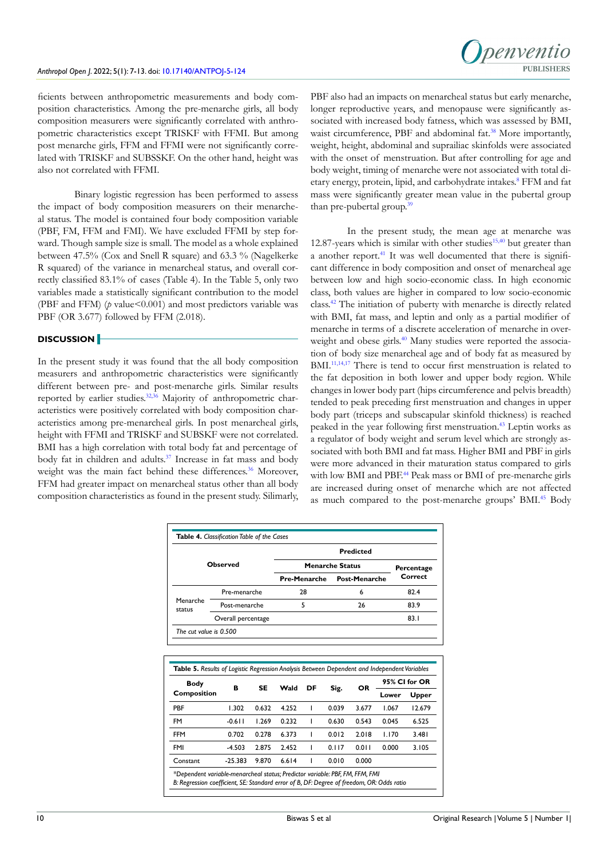

ficients between anthropometric measurements and body composition characteristics. Among the pre-menarche girls, all body composition measurers were significantly correlated with anthropometric characteristics except TRISKF with FFMI. But among post menarche girls, FFM and FFMI were not significantly correlated with TRISKF and SUBSSKF. On the other hand, height was also not correlated with FFMI.

Binary logistic regression has been performed to assess the impact of body composition measurers on their menarcheal status. The model is contained four body composition variable (PBF, FM, FFM and FMI). We have excluded FFMI by step forward. Though sample size is small. The model as a whole explained between 47.5% (Cox and Snell R square) and 63.3 % (Nagelkerke R squared) of the variance in menarcheal status, and overall correctly classified 83.1% of cases (Table 4). In the Table 5, only two variables made a statistically significant contribution to the model (PBF and FFM) (*p* value<0.001) and most predictors variable was PBF (OR 3.677) followed by FFM (2.018).

# **DISCUSSION**

In the present study it was found that the all body composition measurers and anthropometric characteristics were significantly different between pre- and post-menarche girls. Similar results reported by earlier studies.<sup>32,[36](#page-5-13)</sup> Majority of anthropometric characteristics were positively correlated with body composition characteristics among pre-menarcheal girls. In post menarcheal girls, height with FFMI and TRISKF and SUBSKF were not correlated. BMI has a high correlation with total body fat and percentage of body fat in children and adults.<sup>[37](#page-5-14)</sup> Increase in fat mass and body weight was the main fact behind these differences.<sup>36</sup> Moreover, FFM had greater impact on menarcheal status other than all body composition characteristics as found in the present study. Silimarly,

PBF also had an impacts on menarcheal status but early menarche, longer reproductive years, and menopause were significantly associated with increased body fatness, which was assessed by BMI, waist circumference, PBF and abdominal fat.<sup>38</sup> More importantly, weight, height, abdominal and suprailiac skinfolds were associated with the onset of menstruation. But after controlling for age and body weight, timing of menarche were not associated with total di-etary energy, protein, lipid, and carbohydrate intakes.<sup>[8](#page-4-5)</sup> FFM and fat mass were significantly greater mean value in the pubertal group than pre-pubertal group.<sup>[39](#page-6-0)</sup>

In the present study, the mean age at menarche was 12.87-years which is similar with other studies $15,40$  $15,40$  but greater than a another report.<sup>[41](#page-6-2)</sup> It was well documented that there is significant difference in body composition and onset of menarcheal age between low and high socio-economic class. In high economic class, both values are higher in compared to low socio-economic class[.42](#page-6-3) The initiation of puberty with menarche is directly related with BMI, fat mass, and leptin and only as a partial modifier of menarche in terms of a discrete acceleration of menarche in over-weight and obese girls.<sup>[40](#page-6-1)</sup> Many studies were reported the association of body size menarcheal age and of body fat as measured by BMI.<sup>[11,](#page-4-6)[14,](#page-4-8)17</sup> There is tend to occur first menstruation is related to the fat deposition in both lower and upper body region. While changes in lower body part (hips circumference and pelvis breadth) tended to peak preceding first menstruation and changes in upper body part (triceps and subscapular skinfold thickness) is reached peaked in the year following first menstruation.[43](#page-6-4) Leptin works as a regulator of body weight and serum level which are strongly associated with both BMI and fat mass. Higher BMI and PBF in girls were more advanced in their maturation status compared to girls with low BMI and PBF.<sup>[44](#page-6-5)</sup> Peak mass or BMI of pre-menarche girls are increased during onset of menarche which are not affected as much compared to the post-menarche groups' BMI[.45](#page-6-6) Body

|                            |                                                                                              |       |       |                     |                        | <b>Predicted</b>     |       |                |
|----------------------------|----------------------------------------------------------------------------------------------|-------|-------|---------------------|------------------------|----------------------|-------|----------------|
|                            | Observed                                                                                     |       |       |                     | <b>Menarche Status</b> |                      |       | Percentage     |
|                            |                                                                                              |       |       | <b>Pre-Menarche</b> |                        | <b>Post-Menarche</b> |       | Correct        |
|                            | Pre-menarche                                                                                 |       |       | 28                  |                        | 6                    |       | 82.4           |
| Menarche<br>status         | Post-menarche                                                                                |       |       | 5                   |                        | 26                   |       | 83.9           |
|                            | Overall percentage                                                                           |       |       |                     |                        |                      |       | 83.1           |
| The cut value is 0.500     |                                                                                              |       |       |                     |                        |                      |       |                |
|                            |                                                                                              |       |       |                     |                        |                      |       |                |
|                            | Table 5. Results of Logistic Regression Analysis Between Dependent and Independent Variables |       |       |                     |                        |                      |       | 95% CI for OR  |
| <b>Body</b><br>Composition | в                                                                                            | SE    | Wald  | DF                  | Sig.                   | OR                   | Lower |                |
| <b>PBF</b>                 | 1.302                                                                                        | 0.632 | 4.252 | ı                   | 0.039                  | 3.677                | 1.067 | 12.679         |
| FM                         | $-0.611$                                                                                     | 1.269 | 0.232 | ı                   | 0.630                  | 0.543                | 0.045 | Upper<br>6.525 |
| FFM                        | 0.702                                                                                        | 0.278 | 6.373 | ı                   | 0.012                  | 2.018                | 1.170 | 3.481          |
| FMI                        | $-4.503$                                                                                     | 2.875 | 2.452 | ı                   | 0.117                  | 0.011                | 0.000 | 3.105          |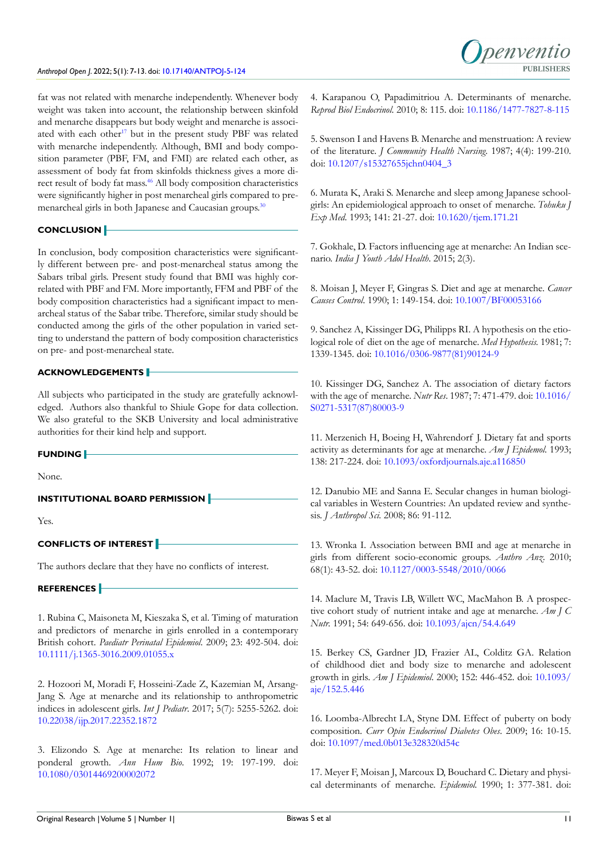fat was not related with menarche independently. Whenever body weight was taken into account, the relationship between skinfold and menarche disappears but body weight and menarche is associ-ated with each other<sup>[17](#page-4-11)</sup> but in the present study PBF was related with menarche independently. Although, BMI and body composition parameter (PBF, FM, and FMI) are related each other, as assessment of body fat from skinfolds thickness gives a more direct result of body fat mass.<sup>46</sup> All body composition characteristics were significantly higher in post menarcheal girls compared to pre-menarcheal girls in both Japanese and Caucasian groups.<sup>[30](#page-5-16)</sup>

# **CONCLUSION**

In conclusion, body composition characteristics were significantly different between pre- and post-menarcheal status among the Sabars tribal girls. Present study found that BMI was highly correlated with PBF and FM. More importantly, FFM and PBF of the body composition characteristics had a significant impact to menarcheal status of the Sabar tribe. Therefore, similar study should be conducted among the girls of the other population in varied setting to understand the pattern of body composition characteristics on pre- and post-menarcheal state.

# **ACKNOWLEDGEMENTS**

All subjects who participated in the study are gratefully acknowledged. Authors also thankful to Shiule Gope for data collection. We also grateful to the SKB University and local administrative authorities for their kind help and support.

#### **FUNDING**

None.

**INSTITUTIONAL BOARD PERMISSION**

Yes.

# **CONFLICTS OF INTEREST**

The authors declare that they have no conflicts of interest.

# **REFERENCES**

<span id="page-4-0"></span>1. Rubina C, Maisoneta M, Kieszaka S, et al. Timing of maturation and predictors of menarche in girls enrolled in a contemporary British cohort. *Paediatr Perinatal Epidemiol*. 2009; 23: 492-504. doi: [10.1111/j.1365-3016.2009.01055.x](http://doi.org/10.1111/j.1365-3016.2009.01055.x)

2. Hozoori M, Moradi F, Hosseini-Zade Z, Kazemian M, Arsang-Jang S. Age at menarche and its relationship to anthropometric indices in adolescent girls. *Int J Pediatr*. 2017; 5(7): 5255-5262. doi: [10.22038/ijp.2017.22352.1872](http://doi.org/10.22038/ijp.2017.22352.1872)

<span id="page-4-1"></span>3. Elizondo S. Age at menarche: Its relation to linear and ponderal growth. *Ann Hum Bio*. 1992; 19: 197-199. doi: [10.1080/03014469200002072](http://doi.org/10.1080/03014469200002072)

<span id="page-4-2"></span>4. Karapanou O, Papadimitriou A. Determinants of menarche. *Reprod Biol Endocrinol*. 2010; 8: 115. doi: [10.1186/1477-7827-8-115](http://doi.org/10.1186/1477-7827-8-115)

<span id="page-4-3"></span>5. Swenson I and Havens B. Menarche and menstruation: A review of the literature. *J Community Health Nursing*. 1987; 4(4): 199-210. doi: [10.1207/s15327655jchn0404\\_3](http://doi.org/10.1207/s15327655jchn0404_3)

<span id="page-4-4"></span>6. Murata K, Araki S. Menarche and sleep among Japanese schoolgirls: An epidemiological approach to onset of menarche. *Tohuku J Exp Med*. 1993; 141: 21-27. doi: [10.1620/tjem.171.21](http://doi.org/10.1620/tjem.171.21)

7. Gokhale, D. Factors influencing age at menarche: An Indian scenario. *India J Youth Adol Health*. 2015; 2(3).

<span id="page-4-5"></span>8. Moisan J, Meyer F, Gingras S. Diet and age at menarche. *Cancer Causes Control*. 1990; 1: 149-154. doi: [10.1007/BF00053166](http://doi.org/10.1007/BF00053166)

9. Sanchez A, Kissinger DG, Philipps RI. A hypothesis on the etiological role of diet on the age of menarche. *Med Hypothesis.* 1981; 7: 1339-1345. doi: [10.1016/0306-9877\(81\)90124-9](http://doi.org/10.1016/0306-9877(81)90124-9)

10. Kissinger DG, Sanchez A. The association of dietary factors with the age of menarche. *Nutr Res*. 1987; 7: 471-479. doi: [10.1016/](http://doi.org/10.1016/S0271-5317(87)80003-9) [S0271-5317\(87\)80003-9](http://doi.org/10.1016/S0271-5317(87)80003-9)

<span id="page-4-6"></span>11. Merzenich H, Boeing H, Wahrendorf J. Dietary fat and sports activity as determinants for age at menarche. *Am J Epidemol.* 1993; 138: 217-224. doi: [10.1093/oxfordjournals.aje.a116850](http://doi.org/10.1093/oxfordjournals.aje.a116850)

<span id="page-4-7"></span>12. Danubio ME and Sanna E. Secular changes in human biological variables in Western Countries: An updated review and synthesis. *J Anthropol Sci.* 2008; 86: 91-112.

13. Wronka I. Association between BMI and age at menarche in girls from different socio-economic groups. *Anthro Anz*. 2010; 68(1): 43-52. doi: [10.1127/0003-5548/2010/0066](http://doi.org/10.1127/0003-5548/2010/0066)

<span id="page-4-8"></span>14. Maclure M, Travis LB, Willett WC, MacMahon B. A prospective cohort study of nutrient intake and age at menarche. *Am J C Nutr.* 1991; 54: 649-656. doi: [10.1093/ajcn/54.4.649](http://doi.org/10.1093/ajcn/54.4.649)

<span id="page-4-9"></span>15. Berkey CS, Gardner JD, Frazier AL, Colditz GA. Relation of childhood diet and body size to menarche and adolescent growth in girls. *Am J Epidemiol*. 2000; 152: 446-452. doi: [10.1093/](http://doi.org/10.1093/aje/152.5.446) [aje/152.5.446](http://doi.org/10.1093/aje/152.5.446)

<span id="page-4-10"></span>16. Loomba-Albrecht LA, Styne DM. Effect of puberty on body composition. *Curr Opin Endocrinol Diabetes Obes*. 2009; 16: 10-15. doi: [10.1097/med.0b013e328320d54c](http://doi.org/10.1097/med.0b013e328320d54c)

<span id="page-4-11"></span>17. Meyer F, Moisan J, Marcoux D, Bouchard C. Dietary and physical determinants of menarche. *Epidemiol.* 1990; 1: 377-381. doi: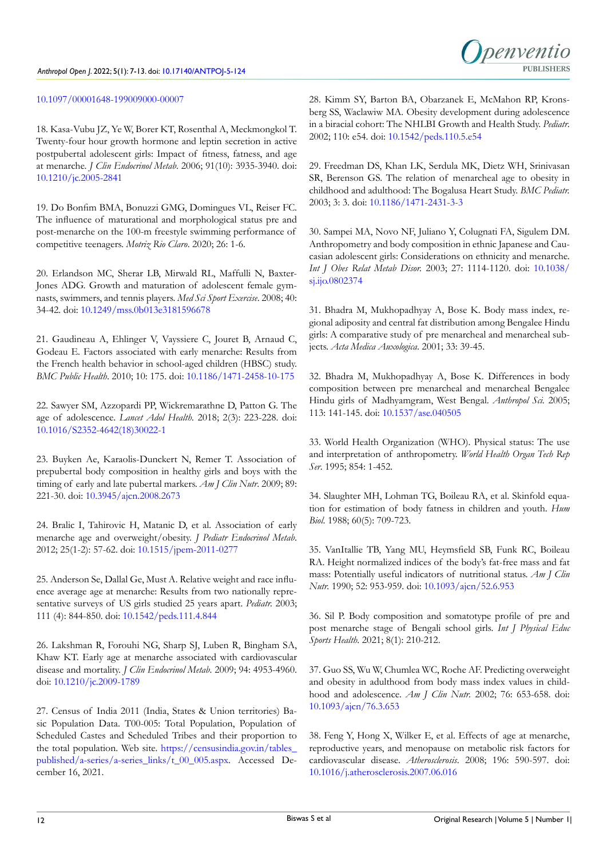#### [10.1097/00001648-199009000-00007](http://doi.org/10.1097/00001648-199009000-00007)

<span id="page-5-0"></span>18. Kasa-Vubu JZ, Ye W, Borer KT, Rosenthal A, Meckmongkol T. Twenty-four hour growth hormone and leptin secretion in active postpubertal adolescent girls: Impact of fitness, fatness, and age at menarche. *J Clin Endocrinol Metab*. 2006; 91(10): 3935-3940. doi: [10.1210/jc.2005-2841](http://doi.org/10.1210/jc.2005-2841)

<span id="page-5-1"></span>19. Do Bonfim BMA, Bonuzzi GMG, Domingues VL, Reiser FC. The influence of maturational and morphological status pre and post-menarche on the 100-m freestyle swimming performance of competitive teenagers. *Motriz Rio Claro*. 2020; 26: 1-6.

20. Erlandson MC, Sherar LB, Mirwald RL, Maffulli N, Baxter-Jones ADG. Growth and maturation of adolescent female gymnasts, swimmers, and tennis players. *Med Sci Sport Exercise*. 2008; 40: 34-42. doi: [10.1249/mss.0b013e3181596678](http://doi.org/10.1249/mss.0b013e3181596678)

<span id="page-5-2"></span>21. Gaudineau A, Ehlinger V, Vayssiere C, Jouret B, Arnaud C, Godeau E. Factors associated with early menarche: Results from the French health behavior in school-aged children (HBSC) study. *BMC Public Health*. 2010; 10: 175. doi: [10.1186/1471-2458-10-175](http://doi.org/10.1186/1471-2458-10-175)

22. Sawyer SM, Azzopardi PP, Wickremarathne D, Patton G. The age of adolescence. *Lancet Adol Health.* 2018; 2(3): 223-228. doi: [10.1016/S2352-4642\(18\)30022-1](http://doi.org/10.1016/S2352-4642(18)30022-1)

<span id="page-5-3"></span>23. Buyken Ae, Karaolis-Dunckert N, Remer T. Association of prepubertal body composition in healthy girls and boys with the timing of early and late pubertal markers. *Am J Clin Nutr*. 2009; 89: 221-30. doi: [10.3945/ajcn.2008.2673](http://doi.org/10.3945/ajcn.2008.2673)

24. Bralic I, Tahirovic H, Matanic D, et al. Association of early menarche age and overweight/obesity. *J Pediatr Endocrinol Metab*. 2012; 25(1-2): 57-62. doi: [10.1515/jpem-2011-0277](http://doi.org/10.1515/jpem-2011-0277)

<span id="page-5-4"></span>25. Anderson Se, Dallal Ge, Must A. Relative weight and race influence average age at menarche: Results from two nationally representative surveys of US girls studied 25 years apart. *Pediatr.* 2003; 111 (4): 844-850. doi: [10.1542/peds.111.4.844](http://doi.org/10.1542/peds.111.4.844)

<span id="page-5-5"></span>26. Lakshman R, Forouhi NG, Sharp SJ, Luben R, Bingham SA, Khaw KT. Early age at menarche associated with cardiovascular disease and mortality. *J Clin Endocrinol Metab*. 2009; 94: 4953-4960. doi: [10.1210/jc.2009-1789](http://doi.org/10.1210/jc.2009-1789)

<span id="page-5-6"></span>27. Census of India 2011 (India, States & Union territories) Basic Population Data. T00-005: Total Population, Population of Scheduled Castes and Scheduled Tribes and their proportion to the total population. Web site. [https://censusindia.gov.in/tables\\_](https://censusindia.gov.in/tables_published/a-series/a-series_links/t_00_005.aspx) [published/a-series/a-series\\_links/t\\_00\\_005.aspx](https://censusindia.gov.in/tables_published/a-series/a-series_links/t_00_005.aspx). Accessed December 16, 2021.

<span id="page-5-7"></span>28. Kimm SY, Barton BA, Obarzanek E, McMahon RP, Kronsberg SS, Waclawiw MA. Obesity development during adolescence in a biracial cohort: The NHLBI Growth and Health Study. *Pediatr*. 2002; 110: e54. doi: [10.1542/peds.110.5.e54](http://doi.org/10.1542/peds.110.5.e54)

penyentic

29. Freedman DS, Khan LK, Serdula MK, Dietz WH, Srinivasan SR, Berenson GS. The relation of menarcheal age to obesity in childhood and adulthood: The Bogalusa Heart Study. *BMC Pediatr.* 2003; 3: 3. doi: [10.1186/1471-2431-3-3](http://doi.org/10.1186/1471-2431-3-3)

<span id="page-5-16"></span>30. Sampei MA, Novo NF, Juliano Y, Colugnati FA, Sigulem DM. Anthropometry and body composition in ethnic Japanese and Caucasian adolescent girls: Considerations on ethnicity and menarche. *Int J Obes Relat Metab Disor.* 2003; 27: 1114-1120. doi: [10.1038/](http://doi.org/10.1038/sj.ijo.0802374) [sj.ijo.0802374](http://doi.org/10.1038/sj.ijo.0802374)

<span id="page-5-8"></span>31. Bhadra M, Mukhopadhyay A, Bose K. Body mass index, regional adiposity and central fat distribution among Bengalee Hindu girls: A comparative study of pre menarcheal and menarcheal subjects. *Acta Medica Auxologica*. 2001; 33: 39-45.

<span id="page-5-10"></span>32. Bhadra M, Mukhopadhyay A, Bose K. Differences in body composition between pre menarcheal and menarcheal Bengalee Hindu girls of Madhyamgram, West Bengal. *Anthropol Sci.* 2005; 113: 141-145. doi: [10.1537/ase.040505](http://doi.org/10.1537/ase.040505)

<span id="page-5-9"></span>33. World Health Organization (WHO). Physical status: The use and interpretation of anthropometry. *World Health Organ Tech Rep Ser*. 1995; 854: 1-452.

<span id="page-5-11"></span>34. Slaughter MH, Lohman TG, Boileau RA, et al. Skinfold equation for estimation of body fatness in children and youth. *Hum Biol*. 1988; 60(5): 709-723.

<span id="page-5-12"></span>35. VanItallie TB, Yang MU, Heymsfield SB, Funk RC, Boileau RA. Height normalized indices of the body's fat-free mass and fat mass: Potentially useful indicators of nutritional status. *Am J Clin Nutr.* 1990; 52: 953-959. doi: [10.1093/ajcn/52.6.953](http://doi.org/10.1093/ajcn/52.6.953)

<span id="page-5-13"></span>36. Sil P. Body composition and somatotype profile of pre and post menarche stage of Bengali school girls. *Int J Physical Educ Sports Health*. 2021; 8(1): 210-212.

<span id="page-5-14"></span>37. Guo SS, Wu W, Chumlea WC, Roche AF. Predicting overweight and obesity in adulthood from body mass index values in childhood and adolescence. *Am J Clin Nutr.* 2002; 76: 653-658. doi: [10.1093/ajcn/76.3.653](http://doi.org/10.1093/ajcn/76.3.653)

<span id="page-5-15"></span>38. Feng Y, Hong X, Wilker E, et al. Effects of age at menarche, reproductive years, and menopause on metabolic risk factors for cardiovascular disease. *Atherosclerosis*. 2008; 196: 590-597. doi: [10.1016/j.atherosclerosis.2007.06.016](http://doi.org/10.1016/j.atherosclerosis.2007.06.016)